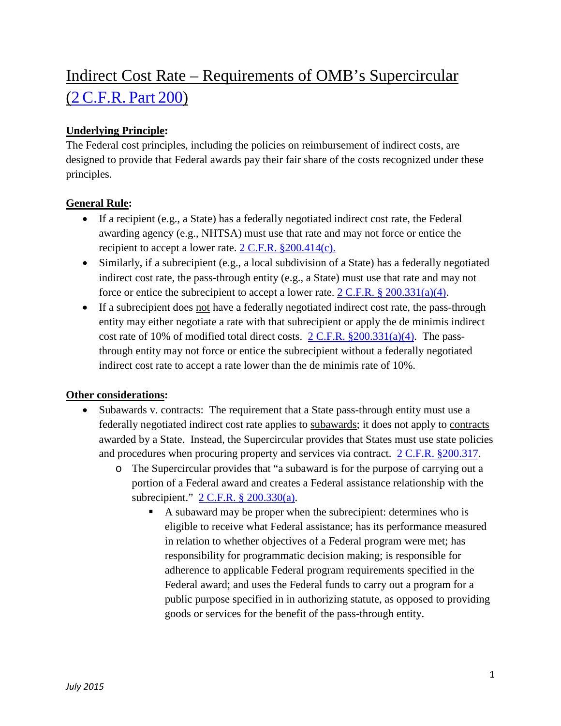# Indirect Cost Rate – Requirements of OMB's Supercircular (2 [C.F.R.](http://www.ecfr.gov/cgi-bin/text-idx?tpl=/ecfrbrowse/Title02/2cfr200_main_02.tpl) Part 200)

## **Underlying Principle:**

The Federal cost principles, including the policies on reimbursement of indirect costs, are designed to provide that Federal awards pay their fair share of the costs recognized under these principles.

### **General Rule:**

- If a recipient (e.g., a State) has a federally negotiated indirect cost rate, the Federal awarding agency (e.g., NHTSA) must use that rate and may not force or entice the recipient to accept a lower rate. [2 C.F.R. §200.414\(c\).](http://www.ecfr.gov/cgi-bin/text-idx?SID=205f43f1f44ba3563ed4d3b3a138d3b2&mc=true&node=se2.1.200_1414&rgn=div8)
- Similarly, if a subrecipient (e.g., a local subdivision of a State) has a federally negotiated indirect cost rate, the pass-through entity (e.g., a State) must use that rate and may not force or entice the subrecipient to accept a lower rate.  $2 \text{ C.F.R.}$  §  $200.331(a)(4)$ .
- If a subrecipient does not have a federally negotiated indirect cost rate, the pass-through entity may either negotiate a rate with that subrecipient or apply the de minimis indirect cost rate of 10% of modified total direct costs.  $2 \text{ C.F.R. } \frac{\$200.331(a)(4)}{a}$ . The passthrough entity may not force or entice the subrecipient without a federally negotiated indirect cost rate to accept a rate lower than the de minimis rate of 10%.

### **Other considerations:**

- Subawards v. contracts: The requirement that a State pass-through entity must use a federally negotiated indirect cost rate applies to subawards; it does not apply to contracts awarded by a State. Instead, the Supercircular provides that States must use state policies and procedures when procuring property and services via contract. [2 C.F.R. §200.317.](http://www.ecfr.gov/cgi-bin/text-idx?SID=21ec6635bda5c6d090131477c8944bfa&mc=true&node=se2.1.200_1317&rgn=div8)
	- o The Supercircular provides that "a subaward is for the purpose of carrying out a portion of a Federal award and creates a Federal assistance relationship with the subrecipient." [2 C.F.R. § 200.330\(a\).](http://www.ecfr.gov/cgi-bin/text-idx?SID=1a272919cc2378fd612ce674a5c8d4b6&mc=true&node=se2.1.200_1330&rgn=div8)
		- A subaward may be proper when the subrecipient: determines who is eligible to receive what Federal assistance; has its performance measured in relation to whether objectives of a Federal program were met; has responsibility for programmatic decision making; is responsible for adherence to applicable Federal program requirements specified in the Federal award; and uses the Federal funds to carry out a program for a public purpose specified in in authorizing statute, as opposed to providing goods or services for the benefit of the pass-through entity.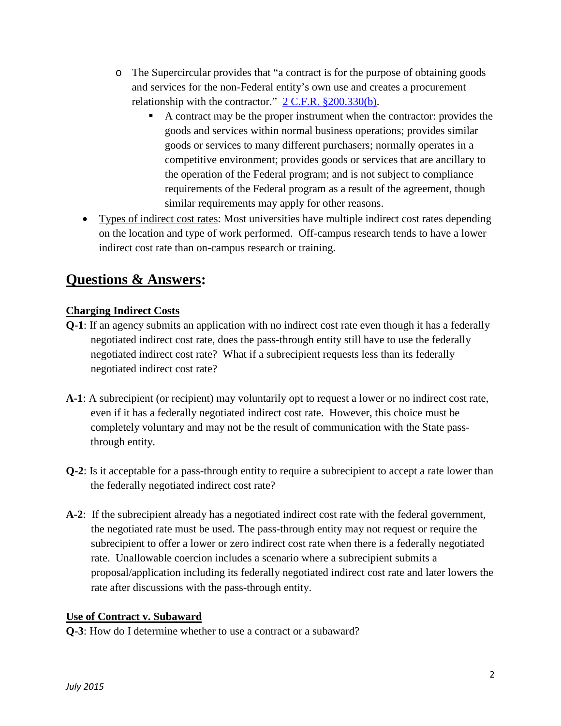- o The Supercircular provides that "a contract is for the purpose of obtaining goods and services for the non-Federal entity's own use and creates a procurement relationship with the contractor."  $2 \text{ C.F.R. }$  \$200.330(b).
	- A contract may be the proper instrument when the contractor: provides the goods and services within normal business operations; provides similar goods or services to many different purchasers; normally operates in a competitive environment; provides goods or services that are ancillary to the operation of the Federal program; and is not subject to compliance requirements of the Federal program as a result of the agreement, though similar requirements may apply for other reasons.
- Types of indirect cost rates: Most universities have multiple indirect cost rates depending on the location and type of work performed. Off-campus research tends to have a lower indirect cost rate than on-campus research or training.

# **Questions & Answers:**

## **Charging Indirect Costs**

- **Q-1**: If an agency submits an application with no indirect cost rate even though it has a federally negotiated indirect cost rate, does the pass-through entity still have to use the federally negotiated indirect cost rate? What if a subrecipient requests less than its federally negotiated indirect cost rate?
- **A-1**: A subrecipient (or recipient) may voluntarily opt to request a lower or no indirect cost rate, even if it has a federally negotiated indirect cost rate. However, this choice must be completely voluntary and may not be the result of communication with the State passthrough entity.
- **Q-2**: Is it acceptable for a pass-through entity to require a subrecipient to accept a rate lower than the federally negotiated indirect cost rate?
- **A-2**: If the subrecipient already has a negotiated indirect cost rate with the federal government, the negotiated rate must be used. The pass-through entity may not request or require the subrecipient to offer a lower or zero indirect cost rate when there is a federally negotiated rate. Unallowable coercion includes a scenario where a subrecipient submits a proposal/application including its federally negotiated indirect cost rate and later lowers the rate after discussions with the pass-through entity.

### **Use of Contract v. Subaward**

**Q-3**: How do I determine whether to use a contract or a subaward?